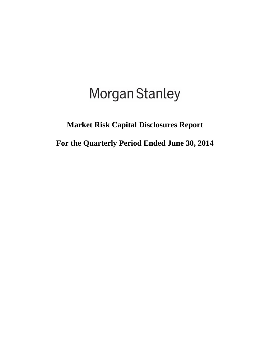# Morgan Stanley

### **Market Risk Capital Disclosures Report**

**For the Quarterly Period Ended June 30, 2014**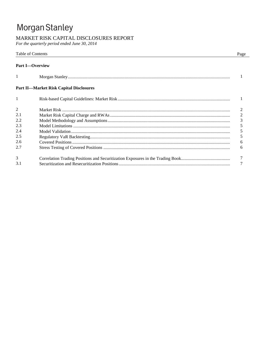## Morgan Stanley

#### MARKET RISK CAPITAL DISCLOSURES REPORT

For the quarterly period ended June 30, 2014

|                | Table of Contents<br>Page                      |                |
|----------------|------------------------------------------------|----------------|
|                | <b>Part I</b> -Overview                        |                |
| 1              |                                                |                |
|                | <b>Part II—Market Risk Capital Disclosures</b> |                |
|                |                                                |                |
| $\overline{2}$ |                                                |                |
| 2.1            |                                                | $\overline{2}$ |
| 2.2            |                                                | 3              |
| 2.3            |                                                | 5              |
| 2.4            |                                                | 5              |
| 2.5            |                                                | 5              |
| 2.6            |                                                | 6              |
| 2.7            |                                                | 6              |
| 3              |                                                |                |
| 3.1            |                                                |                |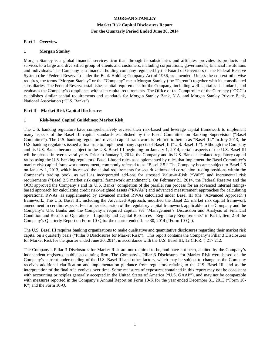#### **MORGAN STANLEY Market Risk Capital Disclosures Report For the Quarterly Period Ended June 30, 2014**

#### **Part I—Overview**

#### **1 Morgan Stanley**

Morgan Stanley is a global financial services firm that, through its subsidiaries and affiliates, provides its products and services to a large and diversified group of clients and customers, including corporations, governments, financial institutions and individuals. The Company is a financial holding company regulated by the Board of Governors of the Federal Reserve System (the "Federal Reserve") under the Bank Holding Company Act of 1956, as amended. Unless the context otherwise requires, the terms "Morgan Stanley" or the "Company" mean Morgan Stanley (the "Parent") together with its consolidated subsidiaries. The Federal Reserve establishes capital requirements for the Company, including well-capitalized standards, and evaluates the Company's compliance with such capital requirements. The Office of the Comptroller of the Currency ("OCC") establishes similar capital requirements and standards for Morgan Stanley Bank, N.A. and Morgan Stanley Private Bank, National Association ("U.S. Banks").

#### **Part II—Market Risk Capital Disclosures**

#### **1 Risk-based Capital Guidelines: Market Risk**

The U.S. banking regulators have comprehensively revised their risk-based and leverage capital framework to implement many aspects of the Basel III capital standards established by the Basel Committee on Banking Supervision ("Basel Committee"). The U.S. banking regulators' revised capital framework is referred to herein as "Basel III." In July 2013, the U.S. banking regulators issued a final rule to implement many aspects of Basel III ("U.S. Basel III"). Although the Company and its U.S. Banks became subject to the U.S. Basel III beginning on January 1, 2014, certain aspects of the U.S. Basel III will be phased in over several years. Prior to January 1, 2014, the Company and its U.S. Banks calculated regulatory capital ratios using the U.S. banking regulators' Basel I-based rules as supplemented by rules that implement the Basel Committee's market risk capital framework amendment, commonly referred to as "Basel 2.5." The Company became subject to Basel 2.5 on January 1, 2013, which increased the capital requirements for securitizations and correlation trading positions within the Company's trading book, as well as incorporated add-ons for stressed Value-at-Risk ("VaR") and incremental risk requirements ("Basel 2.5 market risk capital framework amendment"). On February 21, 2014, the Federal Reserve and the OCC approved the Company's and its U.S. Banks' completion of the parallel run process for an advanced internal ratingsbased approach for calculating credit risk-weighted assets ("RWAs") and advanced measurement approaches for calculating operational RWAs, as supplemented by advanced market RWAs calculated under Basel III (the "Advanced Approach") framework. The U.S. Basel III, including the Advanced Approach, modified the Basel 2.5 market risk capital framework amendment in certain respects. For further discussion of the regulatory capital framework applicable to the Company and the Company's U.S. Banks and the Company's required capital, see "Management's Discussion and Analysis of Financial Condition and Results of Operations—Liquidity and Capital Resources—Regulatory Requirements" in Part I, Item 2 of the Company's Quarterly Report on Form 10-Q for the quarter ended June 30, 2014 ("Form 10-Q").

The U.S. Basel III requires banking organizations to make qualitative and quantitative disclosures regarding their market risk capital on a quarterly basis ("Pillar 3 Disclosures for Market Risk"). This report contains the Company's Pillar 3 Disclosures for Market Risk for the quarter ended June 30, 2014, in accordance with the U.S. Basel III, 12 C.F.R. § 217.212.

The Company's Pillar 3 Disclosures for Market Risk are not required to be, and have not been, audited by the Company's independent registered public accounting firm. The Company's Pillar 3 Disclosures for Market Risk were based on the Company's current understanding of the U.S. Basel III and other factors, which may be subject to change as the Company receives additional clarification and implementation guidance from regulators relating to the U.S. Basel III, and as the interpretation of the final rule evolves over time. Some measures of exposures contained in this report may not be consistent with accounting principles generally accepted in the United States of America ("U.S. GAAP"), and may not be comparable with measures reported in the Company's Annual Report on Form 10-K for the year ended December 31, 2013 ("Form 10-K") and the Form 10-Q.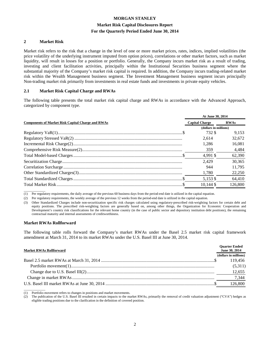#### **MORGAN STANLEY Market Risk Capital Disclosures Report For the Quarterly Period Ended June 30, 2014**

#### **2 Market Risk**

Market risk refers to the risk that a change in the level of one or more market prices, rates, indices, implied volatilities (the price volatility of the underlying instrument imputed from option prices), correlations or other market factors, such as market liquidity, will result in losses for a position or portfolio. Generally, the Company incurs market risk as a result of trading, investing and client facilitation activities, principally within the Institutional Securities business segment where the substantial majority of the Company's market risk capital is required. In addition, the Company incurs trading-related market risk within the Wealth Management business segment. The Investment Management business segment incurs principally Non-trading market risk primarily from investments in real estate funds and investments in private equity vehicles.

#### **2.1 Market Risk Capital Charge and RWAs**

The following table presents the total market risk capital charge and RWAs in accordance with the Advanced Approach, categorized by component type.

|                                                          | At June 30, 2014      |             |  |
|----------------------------------------------------------|-----------------------|-------------|--|
| <b>Components of Market Risk Capital Charge and RWAs</b> | <b>Capital Charge</b> | <b>RWAs</b> |  |
|                                                          | (dollars in millions) |             |  |
|                                                          | 732 \$                | 9.153       |  |
|                                                          | 2.614                 | 32,672      |  |
|                                                          | 1.286                 | 16,081      |  |
|                                                          | 359                   | 4,484       |  |
|                                                          | 4.991 \$              | 62,390      |  |
|                                                          | 2.429                 | 30.365      |  |
|                                                          | 944                   | 11.795      |  |
|                                                          | 1,780                 | 22,250      |  |
|                                                          | 5,153 \$              | 64,410      |  |
|                                                          | $10.144$ \$           | 126.800     |  |

 $\overline{\phantom{a}}$  , where  $\overline{\phantom{a}}$ (1) Per regulatory requirements, the daily average of the previous 60 business days from the period-end date is utilized in the capital equation.

(2) Per regulatory requirements, the weekly average of the previous 12 weeks from the period-end date is utilized in the capital equation.

(3) Other Standardized Charges include non-securitization specific risk charges calculated using regulatory-prescribed risk-weighting factors for certain debt and equity positions. The prescribed risk-weighting factors are generally based on, among other things, the Organization for Economic Cooperation and Development's country risk classifications for the relevant home country (in the case of public sector and depository institution debt positions), the remaining contractual maturity and internal assessments of creditworthiness.

#### **Market RWAs Rollforward**

The following table rolls forward the Company's market RWAs under the Basel 2.5 market risk capital framework amendment at March 31, 2014 to its market RWAs under the U.S. Basel III at June 30, 2014.

| <b>Market RWAs Rollforward</b> | <b>Ouarter Ended</b><br>June 30, 2014 |  |
|--------------------------------|---------------------------------------|--|
|                                | (dollars in millions)                 |  |
|                                | 119.456                               |  |
|                                | (5,311)                               |  |
|                                | 12,655                                |  |
|                                | 7,344                                 |  |
|                                | 126.800                               |  |

 $\overline{\phantom{a}}$ (1) Portfolio movement refers to changes in positions and market movements.

(2) The publication of the U.S. Basel III resulted in certain impacts to the market RWAs, primarily the removal of credit valuation adjustment ("CVA") hedges as eligible trading positions due to the clarification in the definition of covered position.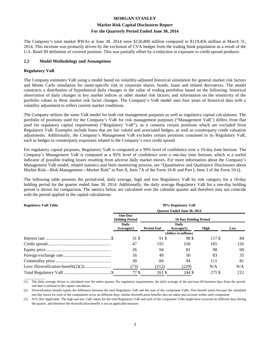#### **Market Risk Capital Disclosures Report For the Quarterly Period Ended June 30, 2014**

The Company's total market RWAs at June 30, 2014 were \$126,800 million compared to \$119,456 million at March 31, 2014. This increase was primarily driven by the exclusion of CVA hedges from the trading book population as a result of the U.S. Basel III definition of covered position. This was partially offset by a reduction in exposure to credit spread products.

#### **2.2 Model Methodology and Assumptions**

#### **Regulatory VaR**

The Company estimates VaR using a model based on volatility-adjusted historical simulation for general market risk factors and Monte Carlo simulation for name-specific risk in corporate shares, bonds, loans and related derivatives. The model constructs a distribution of hypothetical daily changes in the value of trading portfolios based on the following: historical observation of daily changes in key market indices or other market risk factors; and information on the sensitivity of the portfolio values to these market risk factor changes. The Company's VaR model uses four years of historical data with a volatility adjustment to reflect current market conditions.

The Company utilizes the same VaR model for both risk management purposes as well as regulatory capital calculations. The portfolio of positions used for the Company's VaR for risk management purposes ("Management VaR") differs from that used for regulatory capital requirements ("Regulatory VaR"), as it contains certain positions which are excluded from Regulatory VaR. Examples include loans that are fair valued and associated hedges, as well as counterparty credit valuation adjustments. Additionally, the Company's Management VaR excludes certain positions contained in its Regulatory VaR, such as hedges to counterparty exposures related to the Company's own credit spread.

For regulatory capital purposes, Regulatory VaR is computed at a 99% level of confidence over a 10-day time horizon. The Company's Management VaR is computed at a 95% level of confidence over a one-day time horizon, which is a useful indicator of possible trading losses resulting from adverse daily market moves. For more information about the Company's Management VaR model, related statistics and limit monitoring process, see "Quantitative and Qualitative Disclosures about Market Risk—Risk Management—Market Risk" in Part II, Item 7A of the Form 10-K and Part I, Item 3 of the Form 10-Q.

The following table presents the period-end, daily average, high and low Regulatory VaR by risk category for a 10-day holding period for the quarter ended June 30, 2014. Additionally, the daily average Regulatory VaR for a one-day holding period is shown for comparison. The metrics below are calculated over the calendar quarter and therefore may not coincide with the period applied in the capital calculations.

#### **Regulatory VaR Table 99% Regulatory VaR Quarter Ended June 30, 2014 One-Day Holding Period 10-Day Holding Period Daily Average(1) Period End Daily Average(1) High Low (dollars in millions)** Interest rate ................................................................ \$ 31 \$ 91 \$ 98 \$ 117 \$ 84 Credit spread ................................................................ 47 155 150 165 126 Equity price ................................................................ 26 94 81 98 68 Foreign exchange rate ................................................................ 16 49 50 83 35 Commodity price ................................................................ 30 84 94 111 81 Less: Diversification benefit(2)(3) ................................ (73) (212) (229) N/A N/A Total Regulatory VaR ................................................................ \$ 77 \$ 261 \$ 244 \$ 275 \$ 212

 $\overline{\phantom{a}}$  , where  $\overline{\phantom{a}}$ (1) The daily average shown is calculated over the entire quarter. Per regulatory requirements, the daily average of the previous 60 business days from the periodend date is utilized in the capital calculation.

(2) Diversification benefit equals the difference between the total Regulatory VaR and the sum of the component VaRs. This benefit arises because the simulated one-day losses for each of the components occur on different days; similar diversification benefits also are taken into account within each component.

(3) N/A–Not Applicable. The high and low VaR values for the total Regulatory VaR and each of the component VaRs might have occurred on different days during the quarter, and therefore the diversification benefit is not an applicable measure.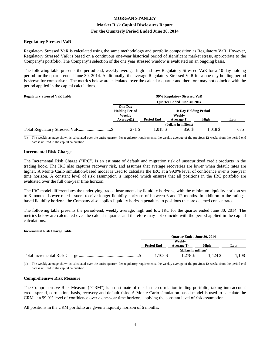#### **Market Risk Capital Disclosures Report**

#### **For the Quarterly Period Ended June 30, 2014**

#### **Regulatory Stressed VaR**

Regulatory Stressed VaR is calculated using the same methodology and portfolio composition as Regulatory VaR. However, Regulatory Stressed VaR is based on a continuous one-year historical period of significant market stress, appropriate to the Company's portfolio. The Company's selection of the one year stressed window is evaluated on an ongoing basis.

The following table presents the period-end, weekly average, high and low Regulatory Stressed VaR for a 10-day holding period for the quarter ended June 30, 2014. Additionally, the average Regulatory Stressed VaR for a one-day holding period is shown for comparison. The metrics below are calculated over the calendar quarter and therefore may not coincide with the period applied in the capital calculations.

| <b>Regulatory Stressed VaR Table</b> |                                  |                   | 99% Regulatory Stressed VaR        |          |     |
|--------------------------------------|----------------------------------|-------------------|------------------------------------|----------|-----|
|                                      |                                  |                   | <b>Ouarter Ended June 30, 2014</b> |          |     |
|                                      | One-Day<br><b>Holding Period</b> |                   | <b>10-Day Holding Period</b>       |          |     |
|                                      | Weekly                           | Weekly            |                                    |          |     |
|                                      | Average(1)                       | <b>Period End</b> | Average(1)                         | High     | Low |
|                                      |                                  |                   | (dollars in millions)              |          |     |
|                                      | 271 \$                           | 1.018 \$          | 856 \$                             | 1.018 \$ | 675 |

 $\overline{\phantom{a}}$  , where  $\overline{\phantom{a}}$ The weekly average shown is calculated over the entire quarter. Per regulatory requirements, the weekly average of the previous 12 weeks from the period-end date is utilized in the capital calculation.

#### **Incremental Risk Charge**

The Incremental Risk Charge ("IRC") is an estimate of default and migration risk of unsecuritized credit products in the trading book. The IRC also captures recovery risk, and assumes that average recoveries are lower when default rates are higher. A Monte Carlo simulation-based model is used to calculate the IRC at a 99.9% level of confidence over a one-year time horizon. A constant level of risk assumption is imposed which ensures that all positions in the IRC portfolio are evaluated over the full one-year time horizon.

The IRC model differentiates the underlying traded instruments by liquidity horizons, with the minimum liquidity horizon set to 3 months. Lower rated issuers receive longer liquidity horizons of between 6 and 12 months. In addition to the ratingsbased liquidity horizon, the Company also applies liquidity horizon penalties to positions that are deemed concentrated.

The following table presents the period-end, weekly average, high and low IRC for the quarter ended June 30, 2014. The metrics below are calculated over the calendar quarter and therefore may not coincide with the period applied in the capital calculations.

#### **Incremental Risk Charge Table**

| <b>Ouarter Ended June 30, 2014</b> |                       |         |      |
|------------------------------------|-----------------------|---------|------|
| Weekly                             |                       |         |      |
| <b>Period End</b>                  | Average(1)            | High    | Low  |
|                                    | (dollars in millions) |         |      |
| .108S                              | 1.278 \$              | 1.424 S | .108 |

 $\overline{\phantom{a}}$ (1) The weekly average shown is calculated over the entire quarter. Per regulatory requirements, the weekly average of the previous 12 weeks from the period-end date is utilized in the capital calculation.

#### **Comprehensive Risk Measure**

The Comprehensive Risk Measure ("CRM") is an estimate of risk in the correlation trading portfolio, taking into account credit spread, correlation, basis, recovery and default risks. A Monte Carlo simulation-based model is used to calculate the CRM at a 99.9% level of confidence over a one-year time horizon, applying the constant level of risk assumption.

All positions in the CRM portfolio are given a liquidity horizon of 6 months.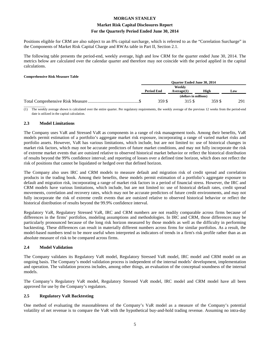### **Market Risk Capital Disclosures Report**

#### **For the Quarterly Period Ended June 30, 2014**

Positions eligible for CRM are also subject to an 8% capital surcharge, which is referred to as the "Correlation Surcharge" in the Components of Market Risk Capital Charge and RWAs table in Part II, Section 2.1.

The following table presents the period-end, weekly average, high and low CRM for the quarter ended June 30, 2014. The metrics below are calculated over the calendar quarter and therefore may not coincide with the period applied in the capital calculations.

#### **Comprehensive Risk Measure Table**

| <b>Ouarter Ended June 30, 2014</b> |                       |       |     |
|------------------------------------|-----------------------|-------|-----|
| Weekly                             |                       |       |     |
| <b>Period End</b>                  | Average(1)            | High  | Low |
|                                    | (dollars in millions) |       |     |
| 359 S                              | 315 S                 | 359 S | 291 |
|                                    |                       |       |     |

(1) The weekly average shown is calculated over the entire quarter. Per regulatory requirements, the weekly average of the previous 12 weeks from the period-end date is utilized in the capital calculation.

#### **2.3 Model Limitations**

The Company uses VaR and Stressed VaR as components in a range of risk management tools. Among their benefits, VaR models permit estimation of a portfolio's aggregate market risk exposure, incorporating a range of varied market risks and portfolio assets. However, VaR has various limitations, which include, but are not limited to: use of historical changes in market risk factors, which may not be accurate predictors of future market conditions, and may not fully incorporate the risk of extreme market events that are outsized relative to observed historical market behavior or reflect the historical distribution of results beyond the 99% confidence interval; and reporting of losses over a defined time horizon, which does not reflect the risk of positions that cannot be liquidated or hedged over that defined horizon.

The Company also uses IRC and CRM models to measure default and migration risk of credit spread and correlation products in the trading book. Among their benefits, these models permit estimation of a portfolio's aggregate exposure to default and migration risk, incorporating a range of market risk factors in a period of financial stress. However, the IRC and CRM models have various limitations, which include, but are not limited to: use of historical default rates, credit spread movements, correlation and recovery rates, which may not be accurate predictors of future credit environments, and may not fully incorporate the risk of extreme credit events that are outsized relative to observed historical behavior or reflect the historical distribution of results beyond the 99.9% confidence interval.

Regulatory VaR, Regulatory Stressed VaR, IRC and CRM numbers are not readily comparable across firms because of differences in the firms' portfolios, modeling assumptions and methodologies. In IRC and CRM, those differences may be particularly pronounced because of the long risk horizon measured by those models as well as the difficulty in performing backtesting. These differences can result in materially different numbers across firms for similar portfolios. As a result, the model-based numbers tend to be more useful when interpreted as indicators of trends in a firm's risk profile rather than as an absolute measure of risk to be compared across firms.

#### **2.4 Model Validation**

The Company validates its Regulatory VaR model, Regulatory Stressed VaR model, IRC model and CRM model on an ongoing basis. The Company's model validation process is independent of the internal models' development, implementation and operation. The validation process includes, among other things, an evaluation of the conceptual soundness of the internal models.

The Company's Regulatory VaR model, Regulatory Stressed VaR model, IRC model and CRM model have all been approved for use by the Company's regulators.

#### **2.5 Regulatory VaR Backtesting**

One method of evaluating the reasonableness of the Company's VaR model as a measure of the Company's potential volatility of net revenue is to compare the VaR with the hypothetical buy-and-hold trading revenue. Assuming no intra-day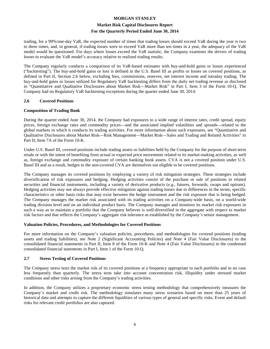#### **Market Risk Capital Disclosures Report For the Quarterly Period Ended June 30, 2014**

trading, for a 99%/one-day VaR, the expected number of times that trading losses should exceed VaR during the year is two to three times, and, in general, if trading losses were to exceed VaR more than ten times in a year, the adequacy of the VaR model would be questioned. For days where losses exceed the VaR statistic, the Company examines the drivers of trading losses to evaluate the VaR model's accuracy relative to realized trading results.

The Company regularly conducts a comparison of its VaR-based estimates with buy-and-hold gains or losses experienced ("backtesting"). The buy-and-hold gains or loss is defined in the U.S. Basel III as profits or losses on covered positions, as defined in Part II, Section 2.6 below, excluding fees, commissions, reserves, net interest income and intraday trading. The buy-and-hold gains or losses utilized for Regulatory VaR backtesting differs from the daily net trading revenue as disclosed in "Quantitative and Qualitative Disclosures about Market Risk—Market Risk" in Part I, Item 3 of the Form 10-Q. The Company had no Regulatory VaR backtesting exceptions during the quarter ended June 30, 2014.

#### **2.6 Covered Positions**

#### **Composition of Trading Book**

During the quarter ended June 30, 2014, the Company had exposures to a wide range of interest rates, credit spread, equity prices, foreign exchange rates and commodity prices—and the associated implied volatilities and spreads—related to the global markets in which it conducts its trading activities. For more information about such exposures, see "Quantitative and Qualitative Disclosures about Market Risk—Risk Management—Market Risk—Sales and Trading and Related Activities" in Part II, Item 7A of the Form 10-K.

Under U.S. Basel III, covered positions include trading assets or liabilities held by the Company for the purpose of short-term resale or with the intent of benefiting from actual or expected price movements related to its market-making activities, as well as, foreign exchange and commodity exposure of certain banking book assets. CVA is not a covered position under U.S. Basel III and as a result, hedges to the non-covered CVA are themselves not eligible to be covered positions.

The Company manages its covered positions by employing a variety of risk mitigation strategies. These strategies include diversification of risk exposures and hedging. Hedging activities consist of the purchase or sale of positions in related securities and financial instruments, including a variety of derivative products (*e.g.*, futures, forwards, swaps and options). Hedging activities may not always provide effective mitigation against trading losses due to differences in the terms, specific characteristics or other basis risks that may exist between the hedge instrument and the risk exposure that is being hedged. The Company manages the market risk associated with its trading activities on a Company-wide basis, on a world-wide trading division level and on an individual product basis. The Company manages and monitors its market risk exposures in such a way as to maintain a portfolio that the Company believes is well-diversified in the aggregate with respect to market risk factors and that reflects the Company's aggregate risk tolerance as established by the Company's senior management.

#### **Valuation Policies, Procedures, and Methodologies for Covered Positions**

For more information on the Company's valuation policies, procedures, and methodologies for covered positions (trading assets and trading liabilities), see Note 2 (Significant Accounting Policies) and Note 4 (Fair Value Disclosures) to the consolidated financial statements in Part II, Item 8 of the Form 10-K and Note 4 (Fair Value Disclosures) to the condensed consolidated financial statements in Part I, Item 1 of the Form 10-Q.

#### **2.7 Stress Testing of Covered Positions**

The Company stress tests the market risk of its covered positions at a frequency appropriate to each portfolio and in no case less frequently than quarterly. The stress tests take into account concentration risk, illiquidity under stressed market conditions and other risks arising from the Company's trading activities.

In addition, the Company utilizes a proprietary economic stress testing methodology that comprehensively measures the Company's market and credit risk. The methodology simulates many stress scenarios based on more than 25 years of historical data and attempts to capture the different liquidities of various types of general and specific risks. Event and default risks for relevant credit portfolios are also captured.